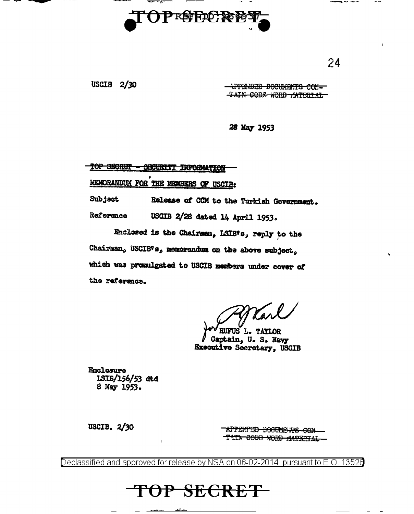

USCIB  $2/30$ 

-APPENDED DOCUMENTS CON-TAIN CODE WORD MATERIAL

28 May 1953

TOP SECRET - SECURITY INFORMATION MEMORANDUM FOR THE MEMBERS OF USCIE:

Subject Release of CCM to the Turkish Government. Reference USCIB 2/28 dated 14 April 1953.

Enclosed is the Chairman, LSIB's, reply to the Chairman, USCIB's, memorandum on the above subject, which was promulgated to USCIB members under cover of the reference.

**RUFUS L. TAYLOR** Captain, U.S. Navy **Executive Secretary, USCIB** 

**Enclosure** ISIB/156/53 atd 8 May 1953.

 $\mathbf{I}$ 

USCIB. 2/30

**APPENTED DOCULEURS CON-**TAIN CODE WORD MATERIAL-

Declassified and approved for release by NSA on 06-02-2014 pursuant to E.O. 13526

TOP SECRET

24